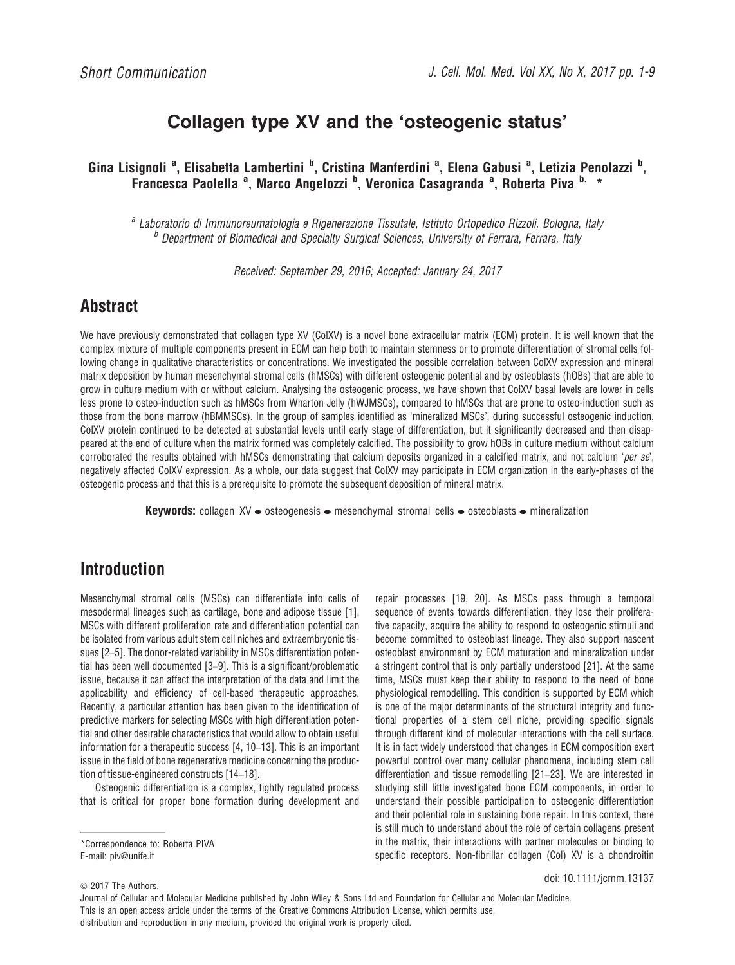# Collagen type XV and the 'osteogenic status'

Gina Lisignoli <sup>a</sup>, Elisabetta Lambertini <sup>b</sup>, Cristina Manferdini <sup>a</sup>, Elena Gabusi <sup>a</sup>, Letizia Penolazzi <sup>b</sup>, Francesca Paolella <sup>a</sup>, Marco Angelozzi <sup>b</sup>, Veronica Casagranda <sup>a</sup>, Roberta Piva <sup>b,</sup> \*

<sup>a</sup> Laboratorio di Immunoreumatologia e Rigenerazione Tissutale, Istituto Ortopedico Rizzoli, Bologna, Italy <sup>b</sup> Department of Biomedical and Specialty Surgical Sciences, University of Ferrara, Ferrara, Italy

Received: September 29, 2016; Accepted: January 24, 2017

# **Abstract**

We have previously demonstrated that collagen type XV (ColXV) is a novel bone extracellular matrix (ECM) protein. It is well known that the complex mixture of multiple components present in ECM can help both to maintain stemness or to promote differentiation of stromal cells following change in qualitative characteristics or concentrations. We investigated the possible correlation between ColXV expression and mineral matrix deposition by human mesenchymal stromal cells (hMSCs) with different osteogenic potential and by osteoblasts (hOBs) that are able to grow in culture medium with or without calcium. Analysing the osteogenic process, we have shown that ColXV basal levels are lower in cells less prone to osteo-induction such as hMSCs from Wharton Jelly (hWJMSCs), compared to hMSCs that are prone to osteo-induction such as those from the bone marrow (hBMMSCs). In the group of samples identified as 'mineralized MSCs', during successful osteogenic induction, ColXV protein continued to be detected at substantial levels until early stage of differentiation, but it significantly decreased and then disappeared at the end of culture when the matrix formed was completely calcified. The possibility to grow hOBs in culture medium without calcium corroborated the results obtained with hMSCs demonstrating that calcium deposits organized in a calcified matrix, and not calcium 'per se', negatively affected ColXV expression. As a whole, our data suggest that ColXV may participate in ECM organization in the early-phases of the osteogenic process and that this is a prerequisite to promote the subsequent deposition of mineral matrix.

**Keywords:** collagen  $XV \bullet$  osteogenesis  $\bullet$  mesenchymal stromal cells  $\bullet$  osteoblasts  $\bullet$  mineralization

## Introduction

Mesenchymal stromal cells (MSCs) can differentiate into cells of mesodermal lineages such as cartilage, bone and adipose tissue [1]. MSCs with different proliferation rate and differentiation potential can be isolated from various adult stem cell niches and extraembryonic tissues [2–5]. The donor-related variability in MSCs differentiation potential has been well documented [3–9]. This is a significant/problematic issue, because it can affect the interpretation of the data and limit the applicability and efficiency of cell-based therapeutic approaches. Recently, a particular attention has been given to the identification of predictive markers for selecting MSCs with high differentiation potential and other desirable characteristics that would allow to obtain useful information for a therapeutic success [4, 10–13]. This is an important issue in the field of bone regenerative medicine concerning the production of tissue-engineered constructs [14–18].

Osteogenic differentiation is a complex, tightly regulated process that is critical for proper bone formation during development and

\*Correspondence to: Roberta PIVA E-mail: piv@unife.it

repair processes [19, 20]. As MSCs pass through a temporal sequence of events towards differentiation, they lose their proliferative capacity, acquire the ability to respond to osteogenic stimuli and become committed to osteoblast lineage. They also support nascent osteoblast environment by ECM maturation and mineralization under a stringent control that is only partially understood [21]. At the same time, MSCs must keep their ability to respond to the need of bone physiological remodelling. This condition is supported by ECM which is one of the major determinants of the structural integrity and functional properties of a stem cell niche, providing specific signals through different kind of molecular interactions with the cell surface. It is in fact widely understood that changes in ECM composition exert powerful control over many cellular phenomena, including stem cell differentiation and tissue remodelling [21–23]. We are interested in studying still little investigated bone ECM components, in order to understand their possible participation to osteogenic differentiation and their potential role in sustaining bone repair. In this context, there is still much to understand about the role of certain collagens present in the matrix, their interactions with partner molecules or binding to specific receptors. Non-fibrillar collagen (Col) XV is a chondroitin

doi: 10.1111/jcmm.13137

 $© 2017$  The Authors.

Journal of Cellular and Molecular Medicine published by John Wiley & Sons Ltd and Foundation for Cellular and Molecular Medicine. This is an open access article under the terms of the [Creative Commons Attribution](http://creativecommons.org/licenses/by/4.0/) License, which permits use, distribution and reproduction in any medium, provided the original work is properly cited.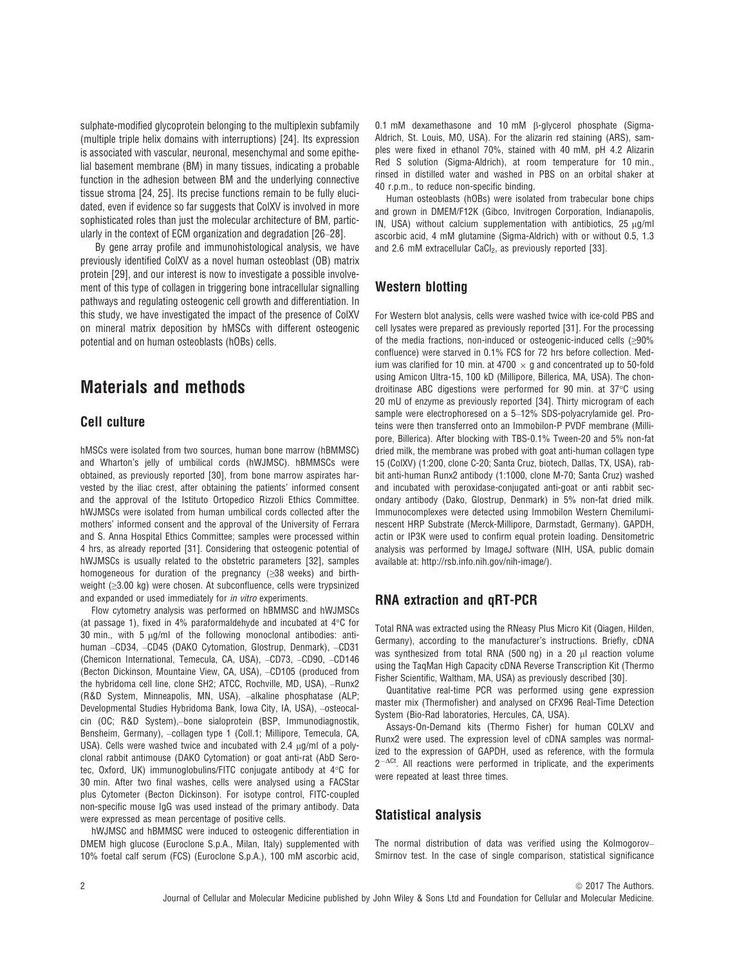sulphate-modified glycoprotein belonging to the multiplexin subfamily (multiple triple helix domains with interruptions) [24]. Its expression is associated with vascular, neuronal, mesenchymal and some epithelial basement membrane (BM) in many tissues, indicating a probable function in the adhesion between BM and the underlying connective tissue stroma [24, 25]. Its precise functions remain to be fully elucidated, even if evidence so far suggests that ColXV is involved in more sophisticated roles than just the molecular architecture of BM, particularly in the context of ECM organization and degradation [26–28].

By gene array profile and immunohistological analysis, we have previously identified ColXV as a novel human osteoblast (OB) matrix protein [29], and our interest is now to investigate a possible involvement of this type of collagen in triggering bone intracellular signalling pathways and regulating osteogenic cell growth and differentiation. In this study, we have investigated the impact of the presence of ColXV on mineral matrix deposition by hMSCs with different osteogenic potential and on human osteoblasts (hOBs) cells.

### Materials and methods

### Cell culture

hMSCs were isolated from two sources, human bone marrow (hBMMSC) and Wharton's jelly of umbilical cords (hWJMSC). hBMMSCs were obtained, as previously reported [30], from bone marrow aspirates harvested by the iliac crest, after obtaining the patients' informed consent and the approval of the Istituto Ortopedico Rizzoli Ethics Committee. hWJMSCs were isolated from human umbilical cords collected after the mothers' informed consent and the approval of the University of Ferrara and S. Anna Hospital Ethics Committee; samples were processed within 4 hrs, as already reported [31]. Considering that osteogenic potential of hWJMSCs is usually related to the obstetric parameters [32], samples homogeneous for duration of the pregnancy (≥38 weeks) and birthweight (≥3.00 kg) were chosen. At subconfluence, cells were trypsinized and expanded or used immediately for in vitro experiments.

Flow cytometry analysis was performed on hBMMSC and hWJMSCs (at passage 1), fixed in 4% paraformaldehyde and incubated at 4 $\degree$ C for 30 min., with 5  $\mu$ g/ml of the following monoclonal antibodies: antihuman –CD34, –CD45 (DAKO Cytomation, Glostrup, Denmark), –CD31 (Chemicon International, Temecula, CA, USA), –CD73, –CD90, –CD146 (Becton Dickinson, Mountaine View, CA, USA), –CD105 (produced from the hybridoma cell line, clone SH2; ATCC, Rochville, MD, USA), –Runx2 (R&D System, Minneapolis, MN, USA), –alkaline phosphatase (ALP; Developmental Studies Hybridoma Bank, Iowa City, IA, USA), –osteocalcin (OC; R&D System),–bone sialoprotein (BSP, Immunodiagnostik, Bensheim, Germany), –collagen type 1 (Coll.1; Millipore, Temecula, CA, USA). Cells were washed twice and incubated with  $2.4 \mu q/ml$  of a polyclonal rabbit antimouse (DAKO Cytomation) or goat anti-rat (AbD Serotec, Oxford, UK) immunoglobulins/FITC conjugate antibody at 4°C for 30 min. After two final washes, cells were analysed using a FACStar plus Cytometer (Becton Dickinson). For isotype control, FITC-coupled non-specific mouse IgG was used instead of the primary antibody. Data were expressed as mean percentage of positive cells.

hWJMSC and hBMMSC were induced to osteogenic differentiation in DMEM high glucose (Euroclone S.p.A., Milan, Italy) supplemented with 10% foetal calf serum (FCS) (Euroclone S.p.A.), 100 mM ascorbic acid,

0.1 mM dexamethasone and 10 mM B-glycerol phosphate (Sigma-Aldrich, St. Louis, MO, USA). For the alizarin red staining (ARS), samples were fixed in ethanol 70%, stained with 40 mM, pH 4.2 Alizarin Red S solution (Sigma-Aldrich), at room temperature for 10 min., rinsed in distilled water and washed in PBS on an orbital shaker at 40 r.p.m., to reduce non-specific binding.

Human osteoblasts (hOBs) were isolated from trabecular bone chips and grown in DMEM/F12K (Gibco, Invitrogen Corporation, Indianapolis, IN, USA) without calcium supplementation with antibiotics,  $25 \mu g/ml$ ascorbic acid, 4 mM glutamine (Sigma-Aldrich) with or without 0.5, 1.3 and 2.6 mM extracellular CaCl<sub>2</sub>, as previously reported [33].

### Western blotting

For Western blot analysis, cells were washed twice with ice-cold PBS and cell lysates were prepared as previously reported [31]. For the processing of the media fractions, non-induced or osteogenic-induced cells (≥90% confluence) were starved in 0.1% FCS for 72 hrs before collection. Medium was clarified for 10 min. at 4700  $\times$  g and concentrated up to 50-fold using Amicon Ultra-15, 100 kD (Millipore, Billerica, MA, USA). The chondroitinase ABC digestions were performed for 90 min. at 37°C using 20 mU of enzyme as previously reported [34]. Thirty microgram of each sample were electrophoresed on a 5–12% SDS-polyacrylamide gel. Proteins were then transferred onto an Immobilon-P PVDF membrane (Millipore, Billerica). After blocking with TBS-0.1% Tween-20 and 5% non-fat dried milk, the membrane was probed with goat anti-human collagen type 15 (ColXV) (1:200, clone C-20; Santa Cruz, biotech, Dallas, TX, USA), rabbit anti-human Runx2 antibody (1:1000, clone M-70; Santa Cruz) washed and incubated with peroxidase-conjugated anti-goat or anti rabbit secondary antibody (Dako, Glostrup, Denmark) in 5% non-fat dried milk. Immunocomplexes were detected using Immobilon Western Chemiluminescent HRP Substrate (Merck-Millipore, Darmstadt, Germany). GAPDH, actin or IP3K were used to confirm equal protein loading. Densitometric analysis was performed by ImageJ software (NIH, USA, public domain available at: [http://rsb.info.nih.gov/nih-image/\)](http://rsb.info.nih.gov/nih-image/).

### RNA extraction and qRT-PCR

Total RNA was extracted using the RNeasy Plus Micro Kit (Qiagen, Hilden, Germany), according to the manufacturer's instructions. Briefly, cDNA was synthesized from total RNA (500 ng) in a 20  $\mu$ l reaction volume using the TaqMan High Capacity cDNA Reverse Transcription Kit (Thermo Fisher Scientific, Waltham, MA, USA) as previously described [30].

Quantitative real-time PCR was performed using gene expression master mix (Thermofisher) and analysed on CFX96 Real-Time Detection System (Bio-Rad laboratories, Hercules, CA, USA).

Assays-On-Demand kits (Thermo Fisher) for human COLXV and Runx2 were used. The expression level of cDNA samples was normalized to the expression of GAPDH, used as reference, with the formula  $2^{-\Delta Ct}$ . All reactions were performed in triplicate, and the experiments were repeated at least three times.

#### Statistical analysis

The normal distribution of data was verified using the Kolmogorov– Smirnov test. In the case of single comparison, statistical significance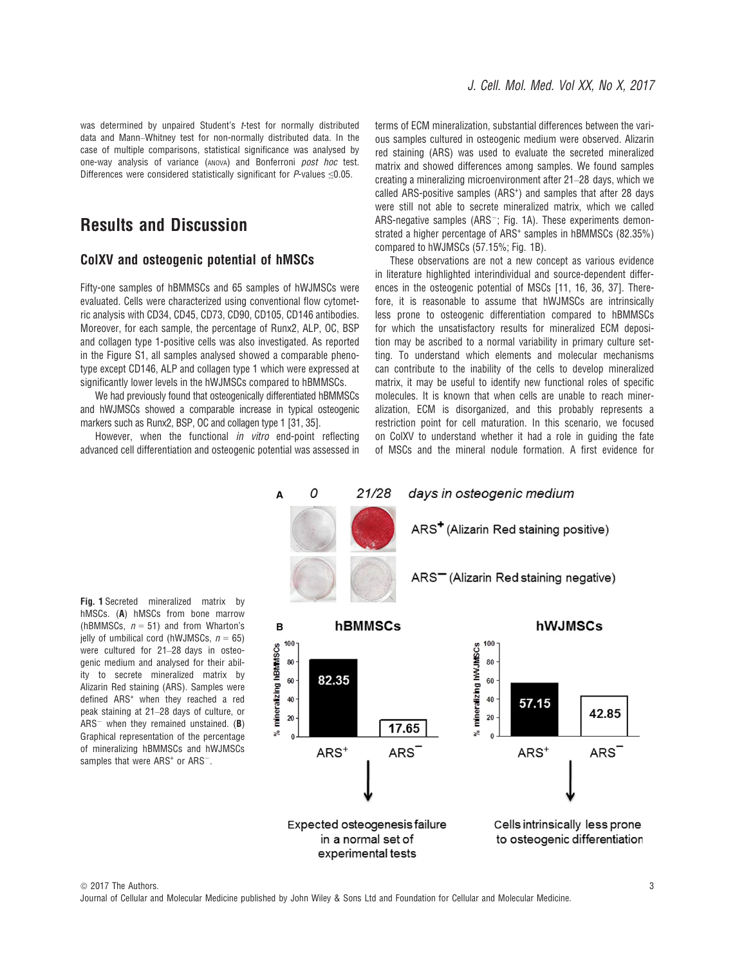was determined by unpaired Student's t-test for normally distributed data and Mann–Whitney test for non-normally distributed data. In the case of multiple comparisons, statistical significance was analysed by one-way analysis of variance (ANOVA) and Bonferroni post hoc test. Differences were considered statistically significant for  $P$ -values  $\leq 0.05$ .

## Results and Discussion

### ColXV and osteogenic potential of hMSCs

Fifty-one samples of hBMMSCs and 65 samples of hWJMSCs were evaluated. Cells were characterized using conventional flow cytometric analysis with CD34, CD45, CD73, CD90, CD105, CD146 antibodies. Moreover, for each sample, the percentage of Runx2, ALP, OC, BSP and collagen type 1-positive cells was also investigated. As reported in the Figure S1, all samples analysed showed a comparable phenotype except CD146, ALP and collagen type 1 which were expressed at significantly lower levels in the hWJMSCs compared to hBMMSCs.

We had previously found that osteogenically differentiated hBMMSCs and hWJMSCs showed a comparable increase in typical osteogenic markers such as Runx2, BSP, OC and collagen type 1 [31, 35].

However, when the functional *in vitro* end-point reflecting advanced cell differentiation and osteogenic potential was assessed in terms of ECM mineralization, substantial differences between the various samples cultured in osteogenic medium were observed. Alizarin red staining (ARS) was used to evaluate the secreted mineralized matrix and showed differences among samples. We found samples creating a mineralizing microenvironment after 21–28 days, which we called ARS-positive samples (ARS<sup>+</sup>) and samples that after 28 days were still not able to secrete mineralized matrix, which we called ARS-negative samples (ARS $^{-}$ ; Fig. 1A). These experiments demonstrated a higher percentage of ARS<sup>+</sup> samples in hBMMSCs (82.35%) compared to hWJMSCs (57.15%; Fig. 1B).

These observations are not a new concept as various evidence in literature highlighted interindividual and source-dependent differences in the osteogenic potential of MSCs [11, 16, 36, 37]. Therefore, it is reasonable to assume that hWJMSCs are intrinsically less prone to osteogenic differentiation compared to hBMMSCs for which the unsatisfactory results for mineralized ECM deposition may be ascribed to a normal variability in primary culture setting. To understand which elements and molecular mechanisms can contribute to the inability of the cells to develop mineralized matrix, it may be useful to identify new functional roles of specific molecules. It is known that when cells are unable to reach mineralization, ECM is disorganized, and this probably represents a restriction point for cell maturation. In this scenario, we focused on ColXV to understand whether it had a role in guiding the fate of MSCs and the mineral nodule formation. A first evidence for



Fig. 1 Secreted mineralized matrix by hMSCs. (A) hMSCs from bone marrow (hBMMSCs,  $n = 51$ ) and from Wharton's jelly of umbilical cord (hWJMSCs,  $n = 65$ ) were cultured for 21–28 days in osteogenic medium and analysed for their ability to secrete mineralized matrix by Alizarin Red staining (ARS). Samples were defined ARS<sup>+</sup> when they reached a red peak staining at 21–28 days of culture, or  $ARS^-$  when they remained unstained. (B) Graphical representation of the percentage of mineralizing hBMMSCs and hWJMSCs samples that were ARS<sup>+</sup> or ARS<sup>-</sup>.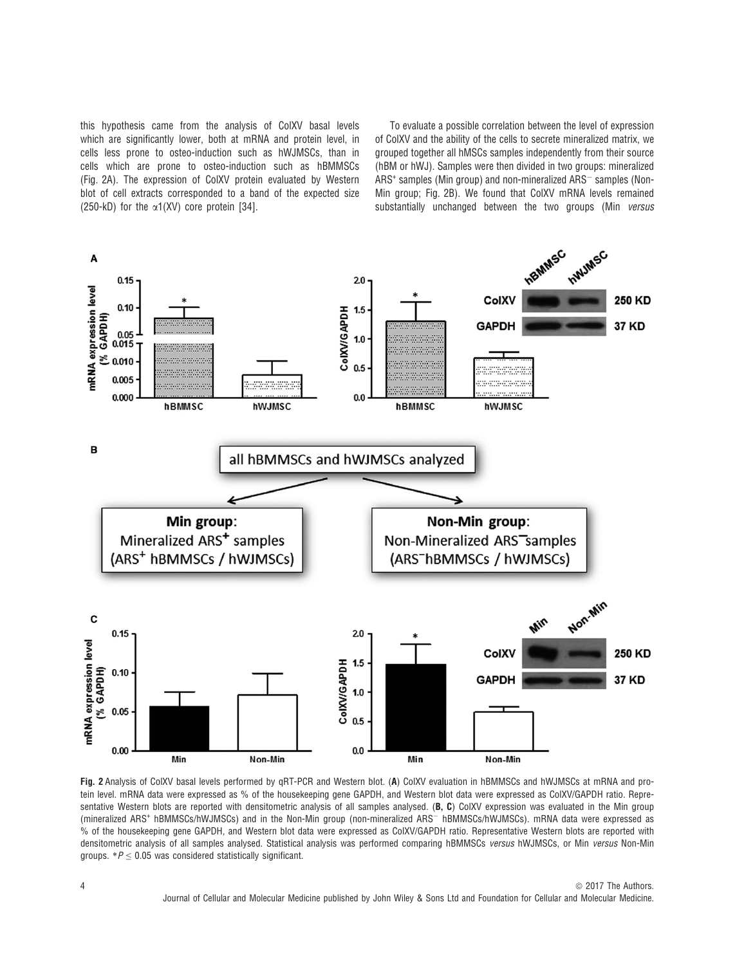this hypothesis came from the analysis of ColXV basal levels which are significantly lower, both at mRNA and protein level, in cells less prone to osteo-induction such as hWJMSCs, than in cells which are prone to osteo-induction such as hBMMSCs (Fig. 2A). The expression of ColXV protein evaluated by Western blot of cell extracts corresponded to a band of the expected size (250-kD) for the  $\alpha$ 1(XV) core protein [34].

To evaluate a possible correlation between the level of expression of ColXV and the ability of the cells to secrete mineralized matrix, we grouped together all hMSCs samples independently from their source (hBM or hWJ). Samples were then divided in two groups: mineralized  $ARS<sup>+</sup>$  samples (Min group) and non-mineralized  $ARS<sup>-</sup>$  samples (Non-Min group; Fig. 2B). We found that ColXV mRNA levels remained substantially unchanged between the two groups (Min versus



Fig. 2 Analysis of ColXV basal levels performed by qRT-PCR and Western blot. (A) ColXV evaluation in hBMMSCs and hWJMSCs at mRNA and protein level. mRNA data were expressed as % of the housekeeping gene GAPDH, and Western blot data were expressed as ColXV/GAPDH ratio. Representative Western blots are reported with densitometric analysis of all samples analysed. (B, C) ColXV expression was evaluated in the Min group (mineralized ARS<sup>+</sup> hBMMSCs/hWJMSCs) and in the Non-Min group (non-mineralized ARS<sup>-</sup> hBMMSCs/hWJMSCs). mRNA data were expressed as % of the housekeeping gene GAPDH, and Western blot data were expressed as ColXV/GAPDH ratio. Representative Western blots are reported with densitometric analysis of all samples analysed. Statistical analysis was performed comparing hBMMSCs versus hWJMSCs, or Min versus Non-Min groups.  $*P \leq 0.05$  was considered statistically significant.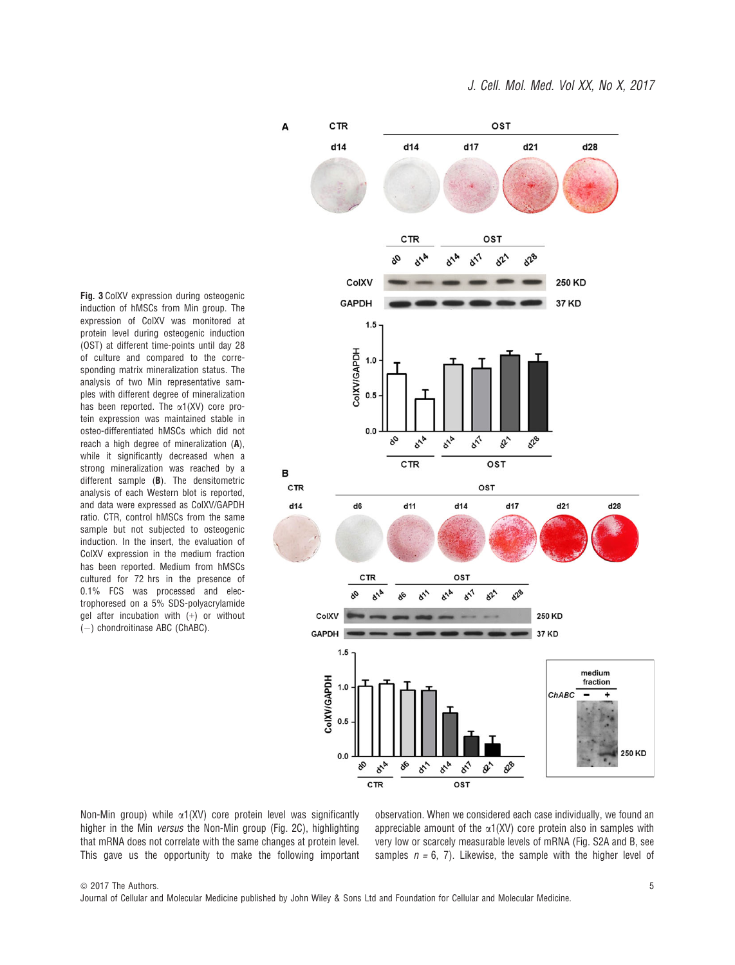CTR OST A  $d14$  $d14$  $d17$  $d21$  $d28$ CTR OST  $x^1$  $x^2$  $x^2$ ColXV 250 KD **GAPDH** 37 KD  $1.5$ ColXV/GAPDH  $1.0$  $0.5$  $0.0$  $\frac{1}{\delta^{n}}$  $\delta^{\!\lambda\!}$ os  $\delta^4$ **o**ra de OST CTR B CTR OST  $d14$ d6  $d11$  $d14$  $d17$  $d21$  $d28$ CTR OST  $\delta^{\text{2b}}$  $\delta^1$  $\delta^2$ 250 KD ColXV **GAPDH** 37 KD  $1.5$ medium CoIXV/GAPDH fraction  $1.0$ ChABC  $0.5$ 250 KD  $0.0$ **o**N  $8<sup>1</sup>$ **on**  $8<sub>o</sub>$ st. os do De CTR OST

Fig. 3 ColXV expression during osteogenic induction of hMSCs from Min group. The expression of ColXV was monitored at protein level during osteogenic induction (OST) at different time-points until day 28 of culture and compared to the corresponding matrix mineralization status. The analysis of two Min representative samples with different degree of mineralization has been reported. The  $\alpha$ 1(XV) core protein expression was maintained stable in osteo-differentiated hMSCs which did not reach a high degree of mineralization (A), while it significantly decreased when a strong mineralization was reached by a different sample (B). The densitometric analysis of each Western blot is reported, and data were expressed as ColXV/GAPDH ratio. CTR, control hMSCs from the same sample but not subjected to osteogenic induction. In the insert, the evaluation of ColXV expression in the medium fraction has been reported. Medium from hMSCs cultured for 72 hrs in the presence of 0.1% FCS was processed and electrophoresed on a 5% SDS-polyacrylamide gel after incubation with (+) or without  $(-)$  chondroitinase ABC (ChABC).

Non-Min group) while  $\alpha$ 1(XV) core protein level was significantly higher in the Min versus the Non-Min group (Fig. 2C), highlighting that mRNA does not correlate with the same changes at protein level. This gave us the opportunity to make the following important observation. When we considered each case individually, we found an appreciable amount of the  $\alpha$ 1(XV) core protein also in samples with very low or scarcely measurable levels of mRNA (Fig. S2A and B, see samples  $n = 6, 7$ ). Likewise, the sample with the higher level of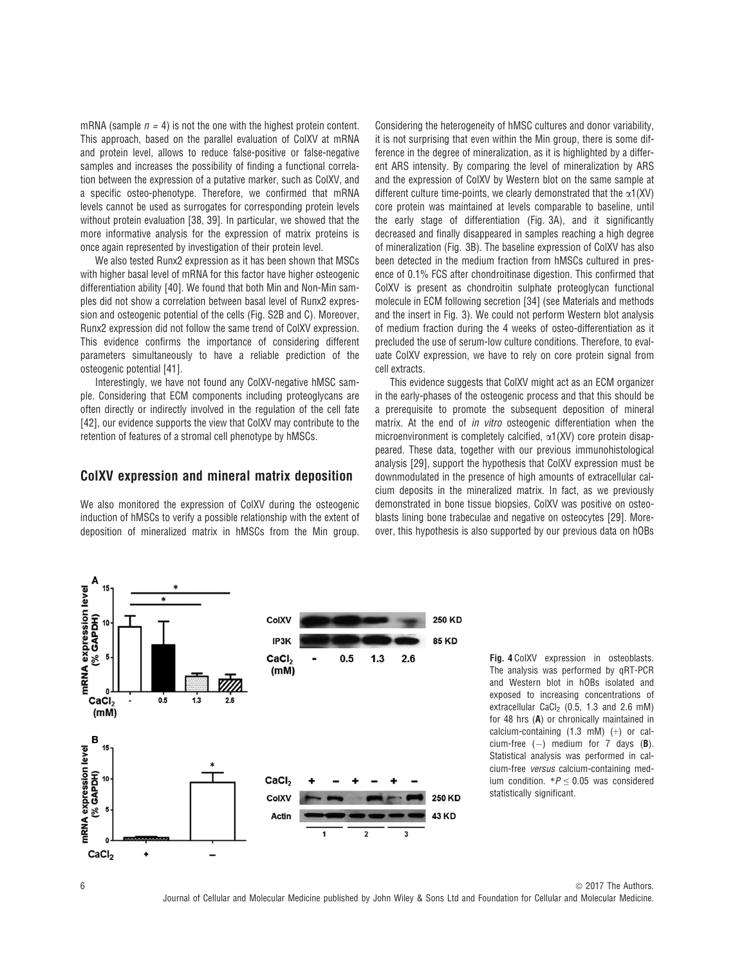mRNA (sample  $n = 4$ ) is not the one with the highest protein content. This approach, based on the parallel evaluation of ColXV at mRNA and protein level, allows to reduce false-positive or false-negative samples and increases the possibility of finding a functional correlation between the expression of a putative marker, such as ColXV, and a specific osteo-phenotype. Therefore, we confirmed that mRNA levels cannot be used as surrogates for corresponding protein levels without protein evaluation [38, 39]. In particular, we showed that the more informative analysis for the expression of matrix proteins is once again represented by investigation of their protein level.

We also tested Runx2 expression as it has been shown that MSCs with higher basal level of mRNA for this factor have higher osteogenic differentiation ability [40]. We found that both Min and Non-Min samples did not show a correlation between basal level of Runx2 expression and osteogenic potential of the cells (Fig. S2B and C). Moreover, Runx2 expression did not follow the same trend of ColXV expression. This evidence confirms the importance of considering different parameters simultaneously to have a reliable prediction of the osteogenic potential [41].

Interestingly, we have not found any ColXV-negative hMSC sample. Considering that ECM components including proteoglycans are often directly or indirectly involved in the regulation of the cell fate [42], our evidence supports the view that ColXV may contribute to the retention of features of a stromal cell phenotype by hMSCs.

#### ColXV expression and mineral matrix deposition

We also monitored the expression of ColXV during the osteogenic induction of hMSCs to verify a possible relationship with the extent of deposition of mineralized matrix in hMSCs from the Min group. Considering the heterogeneity of hMSC cultures and donor variability. it is not surprising that even within the Min group, there is some difference in the degree of mineralization, as it is highlighted by a different ARS intensity. By comparing the level of mineralization by ARS and the expression of ColXV by Western blot on the same sample at different culture time-points, we clearly demonstrated that the  $\alpha$ 1(XV) core protein was maintained at levels comparable to baseline, until the early stage of differentiation (Fig. 3A), and it significantly decreased and finally disappeared in samples reaching a high degree of mineralization (Fig. 3B). The baseline expression of ColXV has also been detected in the medium fraction from hMSCs cultured in presence of 0.1% FCS after chondroitinase digestion. This confirmed that ColXV is present as chondroitin sulphate proteoglycan functional molecule in ECM following secretion [34] (see Materials and methods and the insert in Fig. 3). We could not perform Western blot analysis of medium fraction during the 4 weeks of osteo-differentiation as it precluded the use of serum-low culture conditions. Therefore, to evaluate ColXV expression, we have to rely on core protein signal from cell extracts.

This evidence suggests that ColXV might act as an ECM organizer in the early-phases of the osteogenic process and that this should be a prerequisite to promote the subsequent deposition of mineral matrix. At the end of *in vitro* osteogenic differentiation when the microenvironment is completely calcified,  $\alpha$ 1(XV) core protein disappeared. These data, together with our previous immunohistological analysis [29], support the hypothesis that ColXV expression must be downmodulated in the presence of high amounts of extracellular calcium deposits in the mineralized matrix. In fact, as we previously demonstrated in bone tissue biopsies, ColXV was positive on osteoblasts lining bone trabeculae and negative on osteocytes [29]. Moreover, this hypothesis is also supported by our previous data on hOBs



Fig. 4 ColXV expression in osteoblasts. The analysis was performed by qRT-PCR and Western blot in hOBs isolated and exposed to increasing concentrations of extracellular CaCl<sub>2</sub> (0.5, 1.3 and 2.6 mM) for 48 hrs (A) or chronically maintained in calcium-containing (1.3 mM) (+) or calcium-free  $(-)$  medium for 7 days (B). Statistical analysis was performed in calcium-free versus calcium-containing medium condition.  $*P \leq 0.05$  was considered statistically significant.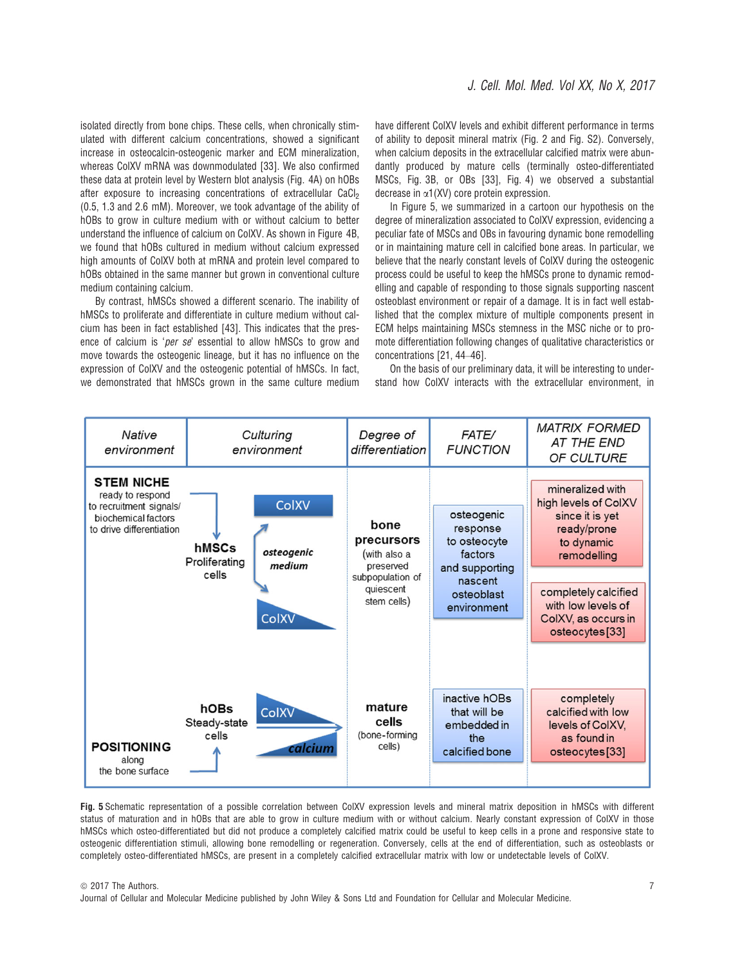isolated directly from bone chips. These cells, when chronically stimulated with different calcium concentrations, showed a significant increase in osteocalcin-osteogenic marker and ECM mineralization, whereas ColXV mRNA was downmodulated [33]. We also confirmed these data at protein level by Western blot analysis (Fig. 4A) on hOBs after exposure to increasing concentrations of extracellular CaCl<sub>2</sub> (0.5, 1.3 and 2.6 mM). Moreover, we took advantage of the ability of hOBs to grow in culture medium with or without calcium to better understand the influence of calcium on ColXV. As shown in Figure 4B, we found that hOBs cultured in medium without calcium expressed high amounts of ColXV both at mRNA and protein level compared to hOBs obtained in the same manner but grown in conventional culture medium containing calcium.

By contrast, hMSCs showed a different scenario. The inability of hMSCs to proliferate and differentiate in culture medium without calcium has been in fact established [43]. This indicates that the presence of calcium is 'per se' essential to allow hMSCs to grow and move towards the osteogenic lineage, but it has no influence on the expression of ColXV and the osteogenic potential of hMSCs. In fact, we demonstrated that hMSCs grown in the same culture medium

have different ColXV levels and exhibit different performance in terms of ability to deposit mineral matrix (Fig. 2 and Fig. S2). Conversely, when calcium deposits in the extracellular calcified matrix were abundantly produced by mature cells (terminally osteo-differentiated MSCs, Fig. 3B, or OBs [33], Fig. 4) we observed a substantial decrease in  $\alpha$ 1(XV) core protein expression.

In Figure 5, we summarized in a cartoon our hypothesis on the degree of mineralization associated to ColXV expression, evidencing a peculiar fate of MSCs and OBs in favouring dynamic bone remodelling or in maintaining mature cell in calcified bone areas. In particular, we believe that the nearly constant levels of ColXV during the osteogenic process could be useful to keep the hMSCs prone to dynamic remodelling and capable of responding to those signals supporting nascent osteoblast environment or repair of a damage. It is in fact well established that the complex mixture of multiple components present in ECM helps maintaining MSCs stemness in the MSC niche or to promote differentiation following changes of qualitative characteristics or concentrations [21, 44–46].

On the basis of our preliminary data, it will be interesting to understand how ColXV interacts with the extracellular environment, in



Fig. 5 Schematic representation of a possible correlation between ColXV expression levels and mineral matrix deposition in hMSCs with different status of maturation and in hOBs that are able to grow in culture medium with or without calcium. Nearly constant expression of ColXV in those hMSCs which osteo-differentiated but did not produce a completely calcified matrix could be useful to keep cells in a prone and responsive state to osteogenic differentiation stimuli, allowing bone remodelling or regeneration. Conversely, cells at the end of differentiation, such as osteoblasts or completely osteo-differentiated hMSCs, are present in a completely calcified extracellular matrix with low or undetectable levels of ColXV.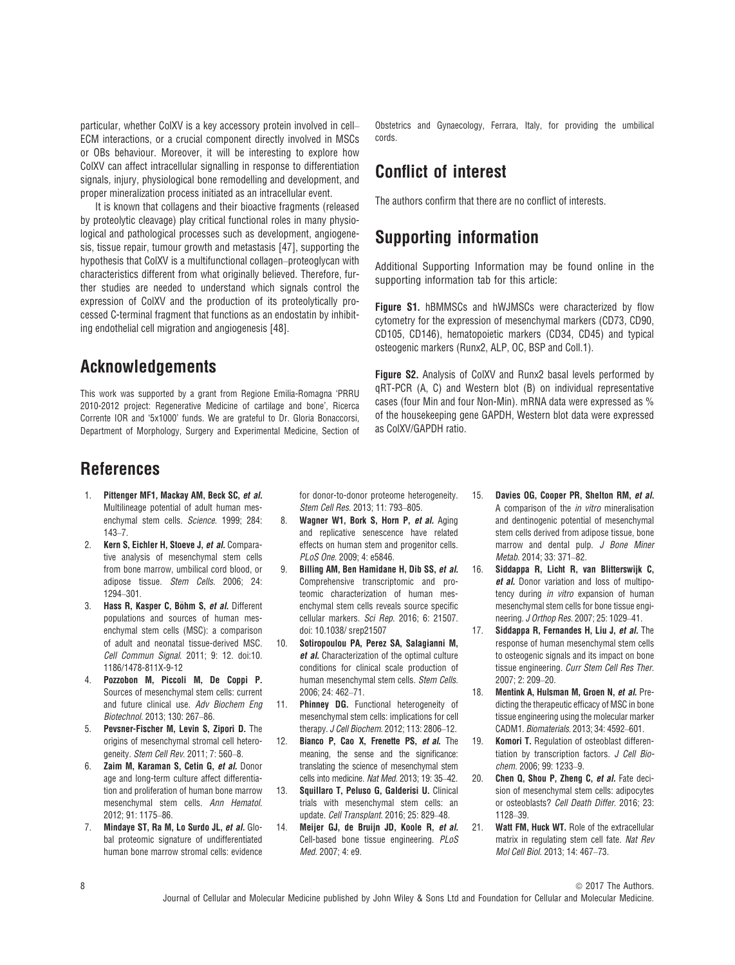particular, whether ColXV is a key accessory protein involved in cell– ECM interactions, or a crucial component directly involved in MSCs or OBs behaviour. Moreover, it will be interesting to explore how ColXV can affect intracellular signalling in response to differentiation signals, injury, physiological bone remodelling and development, and proper mineralization process initiated as an intracellular event.

It is known that collagens and their bioactive fragments (released by proteolytic cleavage) play critical functional roles in many physiological and pathological processes such as development, angiogenesis, tissue repair, tumour growth and metastasis [47], supporting the hypothesis that ColXV is a multifunctional collagen–proteoglycan with characteristics different from what originally believed. Therefore, further studies are needed to understand which signals control the expression of ColXV and the production of its proteolytically processed C-terminal fragment that functions as an endostatin by inhibiting endothelial cell migration and angiogenesis [48].

### Acknowledgements

This work was supported by a grant from Regione Emilia-Romagna 'PRRU 2010-2012 project: Regenerative Medicine of cartilage and bone', Ricerca Corrente IOR and '5x1000' funds. We are grateful to Dr. Gloria Bonaccorsi, Department of Morphology, Surgery and Experimental Medicine, Section of Obstetrics and Gynaecology, Ferrara, Italy, for providing the umbilical cords.

## Conflict of interest

The authors confirm that there are no conflict of interests.

## Supporting information

Additional Supporting Information may be found online in the supporting information tab for this article:

Figure S1. hBMMSCs and hWJMSCs were characterized by flow cytometry for the expression of mesenchymal markers (CD73, CD90, CD105, CD146), hematopoietic markers (CD34, CD45) and typical osteogenic markers (Runx2, ALP, OC, BSP and Coll.1).

Figure S2. Analysis of ColXV and Runx2 basal levels performed by qRT-PCR (A, C) and Western blot (B) on individual representative cases (four Min and four Non-Min). mRNA data were expressed as % of the housekeeping gene GAPDH, Western blot data were expressed as ColXV/GAPDH ratio.

## References

- 1. Pittenger MF1, Mackay AM, Beck SC, et al. Multilineage potential of adult human mesenchymal stem cells. Science. 1999; 284: 143–7.
- 2. Kern S, Eichler H, Stoeve J, et al. Comparative analysis of mesenchymal stem cells from bone marrow, umbilical cord blood, or adipose tissue. Stem Cells. 2006; 24: 1294–301.
- 3. Hass R, Kasper C, Böhm S, et al. Different populations and sources of human mesenchymal stem cells (MSC): a comparison of adult and neonatal tissue-derived MSC. Cell Commun Signal. 2011; 9: 12. doi:[10.](https://doi.org/10.1186/1478-811X-9-12) [1186/1478-811X-9-12](https://doi.org/10.1186/1478-811X-9-12)
- 4. Pozzobon M, Piccoli M, De Coppi P. Sources of mesenchymal stem cells: current and future clinical use. Adv Biochem Eng Biotechnol. 2013; 130: 267–86.
- 5. Pevsner-Fischer M, Levin S, Zipori D. The origins of mesenchymal stromal cell heterogeneity. Stem Cell Rev. 2011; 7: 560–8.
- 6. Zaim M, Karaman S, Cetin G, et al. Donor age and long-term culture affect differentiation and proliferation of human bone marrow mesenchymal stem cells. Ann Hematol. 2012; 91: 1175–86.
- 7. Mindaye ST, Ra M, Lo Surdo JL, et al. Global proteomic signature of undifferentiated human bone marrow stromal cells: evidence

for donor-to-donor proteome heterogeneity. Stem Cell Res. 2013; 11: 793–805.

- 8. Wagner W1, Bork S, Horn P, et al. Aging and replicative senescence have related effects on human stem and progenitor cells. PLoS One. 2009; 4: e5846.
- 9. Billing AM, Ben Hamidane H, Dib SS, et al. Comprehensive transcriptomic and proteomic characterization of human mesenchymal stem cells reveals source specific cellular markers. Sci Rep. 2016; 6: 21507. doi: [10.1038/ srep21507](https://doi.org/10.1038/ srep21507)
- 10. Sotiropoulou PA, Perez SA, Salagianni M, et al. Characterization of the optimal culture conditions for clinical scale production of human mesenchymal stem cells. Stem Cells. 2006; 24: 462–71.
- 11. Phinney DG. Functional heterogeneity of mesenchymal stem cells: implications for cell therapy. J Cell Biochem. 2012; 113: 2806–12.
- 12. Bianco P, Cao X, Frenette PS, et al. The meaning, the sense and the significance: translating the science of mesenchymal stem cells into medicine. Nat Med. 2013; 19: 35–42.
- 13. Squillaro T, Peluso G, Galderisi U. Clinical trials with mesenchymal stem cells: an update. Cell Transplant. 2016; 25: 829–48.
- 14. Meijer GJ, de Bruijn JD, Koole R, et al. Cell-based bone tissue engineering. PLoS Med. 2007; 4: e9.
- 15. Davies OG, Cooper PR, Shelton RM, et al. A comparison of the in vitro mineralisation and dentinogenic potential of mesenchymal stem cells derived from adipose tissue, bone marrow and dental pulp. J Bone Miner Metab. 2014; 33: 371–82.
- 16. Siddappa R, Licht R, van Blitterswijk C, et al. Donor variation and loss of multipotency during in vitro expansion of human mesenchymal stem cells for bone tissue engineering. J Orthop Res. 2007; 25: 1029–41.
- 17. Siddappa R, Fernandes H, Liu J, et al. The response of human mesenchymal stem cells to osteogenic signals and its impact on bone tissue engineering. Curr Stem Cell Res Ther. 2007; 2: 209–20.
- 18. Mentink A, Hulsman M, Groen N, et al. Predicting the therapeutic efficacy of MSC in bone tissue engineering using the molecular marker CADM1. Biomaterials. 2013; 34: 4592–601.
- 19. Komori T. Regulation of osteoblast differentiation by transcription factors. J Cell Biochem. 2006; 99: 1233–9.
- 20. Chen Q, Shou P, Zheng C, et al. Fate decision of mesenchymal stem cells: adipocytes or osteoblasts? Cell Death Differ. 2016; 23: 1128–39.
- 21. Watt FM, Huck WT, Role of the extracellular matrix in regulating stem cell fate. Nat Rev Mol Cell Biol. 2013; 14: 467–73.